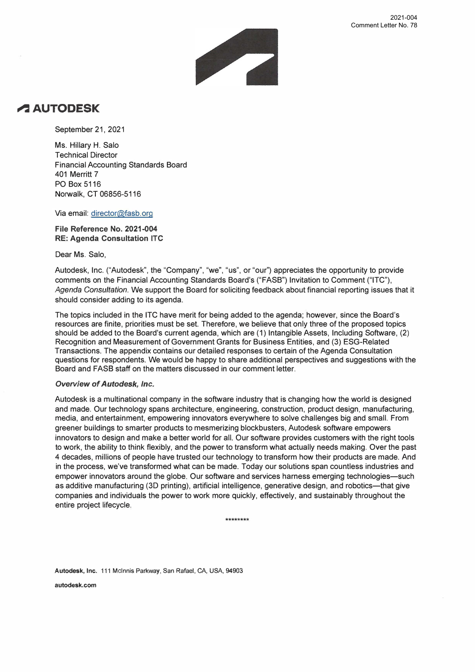

## **�AUTODESK**

September 21, 2021

Ms. Hillary H. Salo Technical Director Financial Accounting Standards Board 401 Merritt 7 PO Box 5116 Norwalk, CT 06856-5116

Via email: director@fasb.org

**File Reference No. 2021-004 RE: Agenda Consultation ITC** 

Dear Ms. Salo,

Autodesk, Inc. ("Autodesk", the "Company", "we", "us", or "our'') appreciates the opportunity to provide comments on the Financial Accounting Standards Board's ("FASB") Invitation to Comment ("ITC"), *Agenda Consultation.* We support the Board for soliciting feedback about financial reporting issues that it should consider adding to its agenda.

The topics included in the ITC have merit for being added to the agenda; however, since the Board's resources are finite, priorities must be set. Therefore, we believe that only three of the proposed topics should be added to the Board's current agenda, which are (1) Intangible Assets, Including Software, (2) Recognition and Measurement of Government Grants for Business Entities, and (3) ESG-Related Transactions. The appendix contains our detailed responses to certain of the Agenda Consultation questions for respondents. We would be happy to share additional perspectives and suggestions with the Board and FASS staff on the matters discussed in our comment letter.

## *Overview of Autodesk, Inc.*

Autodesk is a multinational company in the software industry that is changing how the world is designed and made. Our technology spans architecture, engineering, construction, product design, manufacturing, media, and entertainment, empowering innovators everywhere to solve challenges big and small. From greener buildings to smarter products to mesmerizing blockbusters, Autodesk software empowers innovators to design and make a better world for all. Our software provides customers with the right tools to work, the ability to think flexibly, and the power to transform what actually needs making. Over the past 4 decades, millions of people have trusted our technology to transform how their products are made. And in the process, we've transformed what can be made. Today our solutions span countless industries and empower innovators around the globe. Our software and services harness emerging technologies-such as additive manufacturing (3D printing), artificial intelligence, generative design, and robotics-that give companies and individuals the power to work more quickly, effectively, and sustainably throughout the entire project lifecycle.

\*\*\*\*\*\*\*\*

**Autodesk, Inc.** 111 Mcinnis Parkway, San Rafael, CA, USA, 94903

**autodesk.com**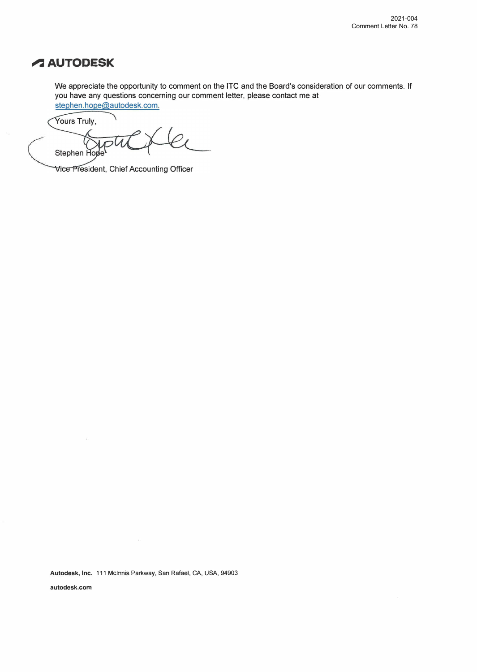# **� AUTODESK**

We appreciate the opportunity to comment on the ITC and the Board's consideration of our comments. If you have any questions concerning our comment letter, please contact me at stephen.hope@autodesk.com.

Yours Truly,

Stephen Ho

Vice President, Chief Accounting Officer

**Autodesk, Inc.** 111 Mcinnis Parkway, San Rafael, CA, USA, 94903

**autodesk.com**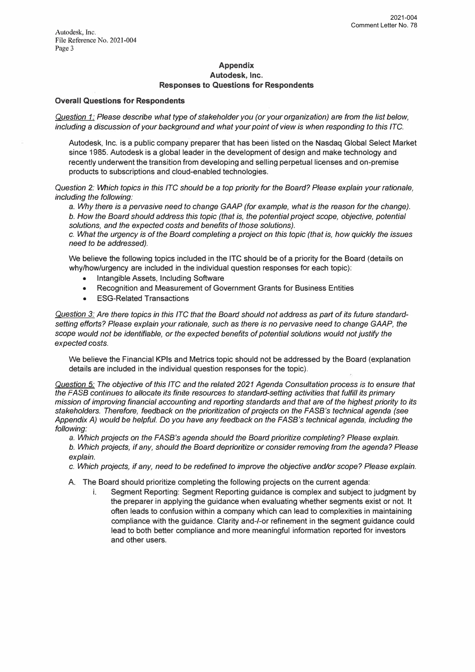#### **Appendix Autodesk, Inc. Responses to Questions for Respondents**

### **Overall Questions for Respondents**

*Question 1: Please describe what type of stakeholder you (or your organization) are from the list below, including* a *discussion of your background and what your point of view is when responding to this ITC.* 

Autodesk, Inc. is a public company preparer that has beeri listed on the Nasdaq Global Select Market since 1985. Autodesk is a global leader in the development of design and make technology and recently underwent the transition from developing and selling perpetual licenses and on-premise products to subscriptions and cloud-enabled technologies.

*Question 2: Which topics in this ITC should be* a *top priority for the Board? Please explain your rationale, including the following:* 

a. *Why there is* a *pervasive need to change GAAP (for example, what is the reason for the change). b. How the Board should address this topic (that is, the potential project scope, objective, potential solutions, and the expected costs and benefits of those solutions).*

*c. What the urgency is of the Board completing* a *project on this topic (that is, how quickly the issues need to be addressed).*

We believe the following topics included in the ITC should be of a priority for the Board (details on why/how/urgency are included in the individual question responses for each topic):

- Intangible Assets, Including Software
- Recognition and Measurement of Government Grants for Business Entities
- **ESG-Related Transactions**

Question 3: Are there topics in this ITC that the Board should not address as part of its future standard*setting efforts? Please explain your rationale, such* as *there is no pervasive need to change GAAP, the scope would not be identifiable, or the expected benefits of potential solutions would not justify the expected* costs.

We believe the Financial KPls and Metrics topic should not be addressed by the Board (explanation details are included in the individual question responses for the topic).

*Question 5: The objective of this ITC and the related 2021 Agenda Consultation process* is *to ensure that the FASB continues to allocate its finite resources to standard-setting activities that fulfill its primary mission of improving financial accounting and reporting standards and that are of the highest priority to its stakeholders. Therefore, feedback on the prioritization of projects on the FASB's technical agenda (see Appendix A) would be helpful. Do you have any feedback on the FASB's technical agenda, including the following:* 

a. *Which projects on the FASB's agenda should the Board prioritize completing? Please explain. b. Which projects, if any, should the Board deprioritize or consider removing from the agenda? Please explain.*

*c. Which projects, if any, need to be redefined to improve the objective and/or scope? Please explain.*

A. The Board should prioritize completing the following projects on the current agenda:

i. Segment Reporting: Segment Reporting guidance is complex and subject to judgment by the preparer in applying the guidance when evaluating whether segments exist or not. It often leads to confusion within a company which can lead to complexities in maintaining compliance with the guidance. Clarity and-I-or refinement in the segment guidance could lead to both better compliance and more meaningful information reported for investors and other users.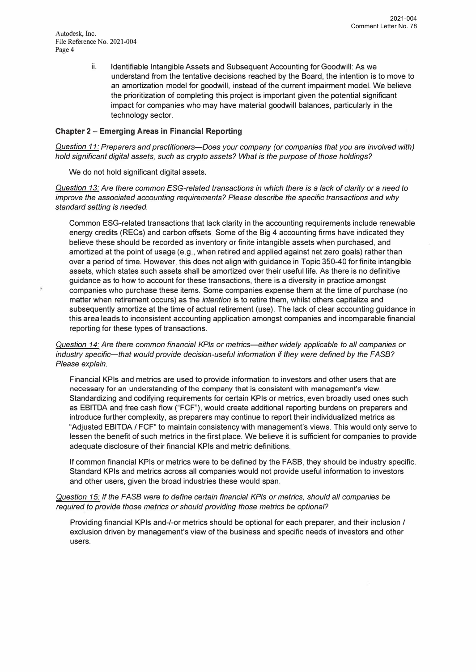Autodesk, Inc. File Reference No. 2021-004 Page 4

> ii. Identifiable Intangible Assets and Subsequent Accounting for Goodwill: As we understand from the tentative decisions reached by the Board, the intention is to move to an amortization model for goodwill, instead of the current impairment model. We believe the prioritization of completing this project is important given the potential significant impact for companies who may have material goodwill balances, particularly in the technology sector.

### **Chapter 2 - Emerging Areas in Financial Reporting**

*Question 11: Preparers and practitioners-Does your company (or companies that you are involved with) hold significant digital assets, such as crypto assets? What is the purpose of those holdings?* 

We do not hold significant digital assets.

*Question 13: Are there common ESG-related transactions in which there is* **a** *lack of clarity or* **a** *need to improve the associated accounting requirements? Please describe the specific transactions and why standard setting is needed.* 

Common ESG-related transactions that lack clarity in the accounting requirements include renewable energy credits (RECs) and carbon offsets. Some of the Big 4 accounting firms have indicated they believe these should be recorded as inventory or finite intangible assets when purchased, and amortized at the point of usage (e.g., when retired and applied against net zero goals) rather than over a period of time. However, this does not align with guidance in Topic 350-40 for finite intangible assets, which states such assets shall be amortized over their useful life. As there is no definitive guidance as to how to account for these transactions, there is a diversity in practice amongst companies who purchase these items. Some companies expense them at the time of purchase (no matter when retirement occurs) as the *intention* is to retire them, whilst others capitalize and subsequently amortize at the time of actual retirement (use). The lack of clear accounting guidance in this area leads to inconsistent accounting application amongst companies and incomparable financial reporting for these types of transactions.

*Question 14: Are there common financial KPls or metrics-either widely applicable to all companies or*  industry specific-that would provide decision-useful information if they were defined by the FASB? *Please explain.* 

Financial KPls and metrics are used to provide information to investors and other users that are necessary for an understanding of the company that is consistent with management's view. Standardizing and codifying requirements for certain KPls or metrics, even broadly used ones such as EBITDA anq free cash flow ("FCF"), would create additional reporting burdens on preparers and introduce further complexity, as preparers may continue to report their individualized metrics as "Adjusted EBITDA / FCF" to maintain consistency with management's views. This would only serve to lessen the benefit of such metrics in the first place. We believe it is sufficient for companies to provide adequate disclosure of their financial KPls and metric definitions.

If common financial KPls or metrics were to be defined by the FASS, they should be industry specific. Standard KPls and metrics across all companies would not provide useful information to investors and other users, given the broad industries these would span.

*Question 15: If the FASB were to define certain financial KPls or metrics, should all companies be required to provide those metrics or should providing those metrics be optional?* 

Providing financial KPls and-/-or metrics should be optional for each preparer, and their inclusion / exclusion driven by management's view of the business and specific needs of investors and other users.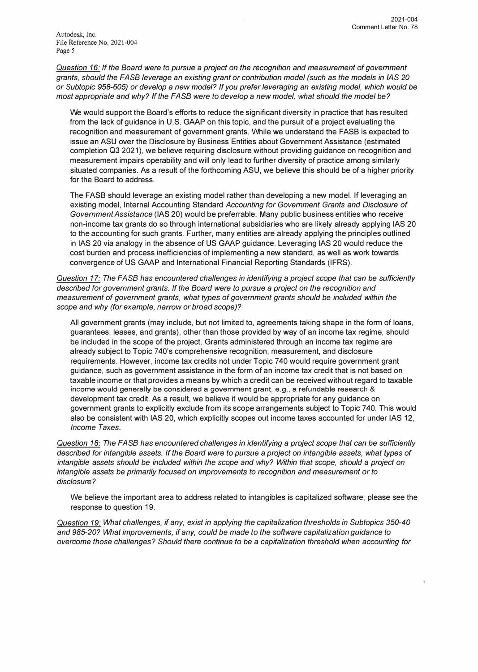Autodesk, Inc. File Reference No. 2021-004 Page 5

*Question 16: If the Board were to pursue* a *project on the recognition and measurement of government grants, should the FASB leverage an existing grant or contribution model (such as the models in /AS 20 or Subtopic 958-605) or develop* a *new model? If you prefer leveraging an existing model, which would be most appropriate and why? ff the FASB were to develop* a *new model, what should the model be?* 

We would support the Board's efforts to reduce the significant diversity in practice that has resulted from the lack of guidance in U.S. GAAP on this topic, and the pursuit of a project evaluating the recognition and measurement of government grants. While we understand the FASB is expected to issue an ASU over the Disclosure by Business Entities about Government Assistance (estimated completion 03 2021), we believe requiring disclosure without providing guidance on recognition and measurement impairs operability and will only lead to further diversity of practice among similarly situated companies. As a result of the forthcoming ASU, we believe this should be of a higher priority for the Board to address.

The FASB should leverage an existing model rather than developing a new model. If leveraging an existing model, Internal Accounting Standard *Accounting for Government Grants and Disclosure of Government Assistance* (IAS 20) would be preferrable. Many public business entities who receive non-income tax grants do so through international subsidiaries who are likely already applying IAS 20 to the accounting for such grants. Further, many entities are already applying the principles outlined in IAS 20 via analogy in the absence of US GAAP guidance. Leveraging IAS 20 would reduce the cost burden and process inefficiencies of implementing a new standard, as well as work towards convergence of US GAAP and International Financial Reporting Standards (IFRS).

*Question 17: The FASB has encountered challenges in identifying* a *project scope that can be sufficiently described for government grants. If the Board were to pursue* a *project on the recognition and measurement of government grants, what types of government grants should be included within the scope and why (for example, narrow or broad scope)?* 

All government grants (may include, but not limited to, agreements taking shape in the form of loans, guarantees, leases, and grants), other than those provided by way of an income tax regime, should be included in the scope of the project. Grants administered through an income tax regime are already subject to Topic 740's comprehensive recognition, measurement, and disclosure requirements. However, income tax credits not under Topic 740 would require government grant guidance, such as government assistance in the form of an income tax credit that is not based on taxable income or that provides a means by which a credit can be received without regard to taxable income would generally be considered a government grant, e.g., a refundable research & development tax credit. As a result, we believe it would be appropriate for any guidance on government grants to explicitly exclude from its scope arrangements subject to Topic 740. This would also be consistent with IAS 20, which explicitly scopes out income taxes accounted for under IAS 12, *Income Taxes.* 

*Question 18: The FASB has encountered challenges in identifying* a *project scope that can be sufficiently described for intangible assets. If the Board were to pursue* a *project on intangible assets, what types of intangible assets should be included within the scope and why? Within that scope, should a project on intangible assets be primarily focused on improvements to recognition and measurement or to disclosure?* 

We believe the important area to address related to intangibles is capitalized software; please see the response to question 19.

*Question 19: What challenges, if any, exist in applying the capitalization thresholds in Subtopics 350-40 and 985-20? What improvements, if any, could be made to the software capitalization guidance to overcome those challenges? Should there continue to be* a *capitalization threshold when accounting for*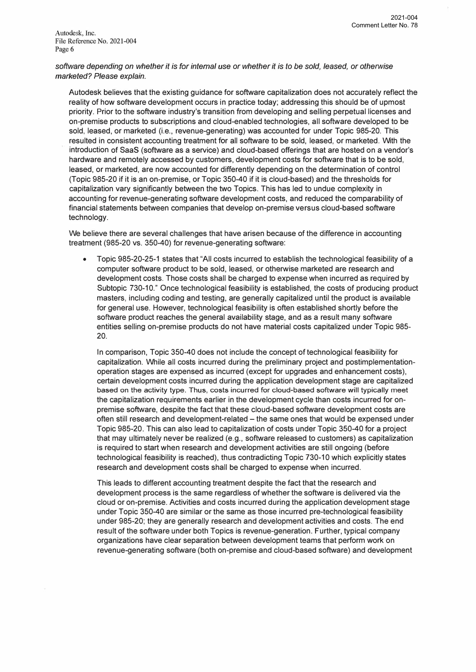*software depending on whether it is for internal use or whether it is to be sold, leased, or otherwise marketed? Please explain.* 

Autodesk believes that the existing guidance for software capitalization does not accurately reflect the reality of how software development occurs in practice today; addressing this should be of upmost priority. Prior to the software industry's transition from developing and selling perpetual licenses and on-premise products to subscriptions and cloud-enabled technologies, all software developed to be sold, leased, or marketed (i.e., revenue-generating) was accounted for under Topic 985-20. This resulted in consistent accounting treatment for all software to be sold, leased, or marketed. With the introduction of Saas (software as a service) and cloud-based offerings that are hosted on a vendor's hardware and remotely accessed by customers, development costs for software that is to be sold, leased, or marketed, are now accounted for differently depending on the determination of control (Topic 985-20 if it is an on-premise, or Topic 350-40 if it is cloud-based) and the thresholds for capitalization vary significantly between the two Topics. This has led to undue complexity in accounting for revenue-generating software development costs, and reduced the comparability of financial statements between companies that develop on-premise versus cloud-based software technology.

We believe there are several challenges that have arisen because of the difference in accounting treatment (985-20 vs. 350-40) for revenue-generating software:

• Topic 985-20-25-1 states that "All costs incurred to establish the technological feasibility of a computer software product to be sold, leased, or otherwise marketed are research and development costs. Those costs shall be charged to expense when incurred as required by Subtopic 730-10." Once technological feasibility is established, the costs of producing product masters, including coding and testing, are generally capitalized until the product is available for general use. However, technological feasibility is often established shortly before the software product reaches the general availability stage, and as a result many software entities selling on-premise products do not have material costs capitalized under Topic 985- 20.

In comparison, Topic 350-40 does not include the concept of technological feasibility for capitalization. While all costs incurred during the preliminary project and postimplementationoperation stages are expensed as incurred (except for upgrades and enhancement costs), certain development costs incurred during the application development stage are capitalized based on the activity type. Thus, costs incurred for cloud-based software will typically meet the capitalization requirements earlier in the development cycle than costs incurred for onpremise software, despite the fact that these cloud-based software development costs are often still research and development-related – the same ones that would be expensed under Topic 985-20. This can also lead to capitalization of costs under Topic 350-40 for a project that may ultimately never be realized (e.g., software released to customers) as capitalization is required to start when research and development activities are still ongoing (before technological feasibility is reached), thus contradicting Topic 730-10 which explicitly states research and development costs shall be charged to expense when incurred.

This leads to different accounting treatment despite the fact that the research and development process is the same regardless of whether the software is delivered via the cloud or on-premise. Activities and costs incurred during the application development stage under Topic 350-40 are similar or the same as those incurred pre-technological feasibility under 985-20; they are generally research and development activities and costs. The end result of the software under both Topics is revenue-generation. Further, typical company organizations have clear separation between development teams that perform work on revenue-generating software (both on-premise and cloud-based software) and development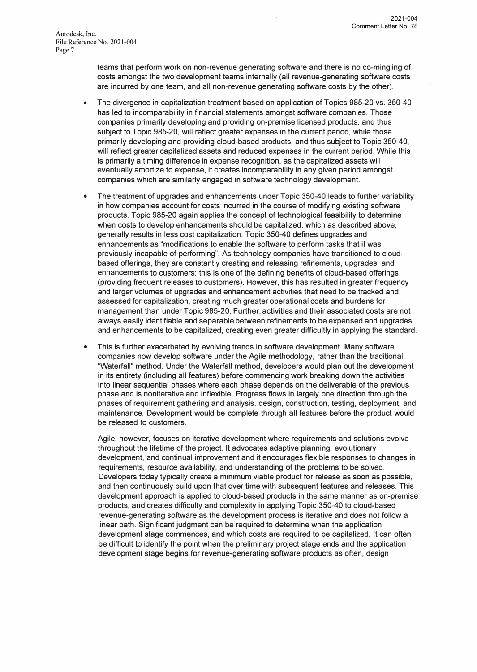teams that perform work on non-revenue generating software and there is no co-mingling of costs amongst the two development teams internally (all revenue-generating software costs are incurred by one team, and all non-revenue generating software costs by the other).

- The divergence in capitalization treatment based on application of Topics 985-20 vs. 350-40 has led to incomparability in financial statements amongst software companies. Those companies primarily developing and providing on-premise licensed products, and thus subject to Topic 985-20, will reflect greater expenses in the current period, while those primarily developing and providing cloud-based products, and thus subject to Topic 350-40, will reflect greater capitalized assets and reduced expenses in the current period. While this is primarily a timing difference in expense recognition, as the capitalized assets will eventually amortize to expense, it creates incomparability in any given period amongst companies which are similarly engaged in software technology development.
- The treatment of upgrades and enhancements under Topic 350-40 leads to further variability in how companies account for costs incurred in the course of modifying existing software products. Topic 985-20 again applies the concept of technological feasibility to determine when costs to develop enhancements should be capitalized, which as described above, generally results in less cost capitalization. Topic 350-40 defines upgrades and enhancements as "modifications to enable the software to perform tasks that it was previously incapable of performing". As technology companies have transitioned to cloudbased offerings, they are constantly creating and releasing refinements, upgrades, and enhancements to customers; this is one of the defining benefits of cloud-based offerings (providing frequent releases to customers). However, this has resulted in greater frequency and larger volumes of upgrades and enhancement activities that need to be tracked and assessed for capitalization, creating much greater operational costs and burdens for management than under Topic 985-20. Further, activities and their associated costs are not always easily identifiable and separable between refinements to be expensed and upgrades and enhancements to be capitalized, creating even greater difficultly in applying the standard.
- This is further exacerbated by evolving trends in software development. Many software companies now develop software under the Agile methodology, rather than the traditional "Waterfall" method. Under the Waterfall method, developers would plan out the development in its entirety (including all features) before commencing work breaking down the activities into linear sequential phases where each phase depends on the deliverable of the previous phase and is noniterative and inflexible. Progress flows in largely one direction through the phases of requirement gathering and analysis, design, construction, testing, deployment, and maintenance. Development would be complete through all features before the product would be released to customers.

Agile, however, focuses on iterative development where requirements and solutions evolve throughout the lifetime of the project. It advocates adaptive planning, evolutionary development, and continual improvement and it encourages flexible responses to changes in requirements, resource availability, and understanding of the problems to be solved. Developers today typically create a minimum viable product for release as soon as possible, and then continuously build upon that over time with subsequent features and releases. This development approach is applied to cloud-based products in the same manner as on-premise products, and creates difficulty and complexity in applying Topic 350-40 to cloud-based revenue-generating software as the development process is iterative and does not follow a linear path. Significant judgment can be required to determine when the application development stage commences, and which costs are required to be capitalized. It can often be difficult to identify the point when the preliminary project stage ends and the application development stage begins for revenue-generating software products as often, design